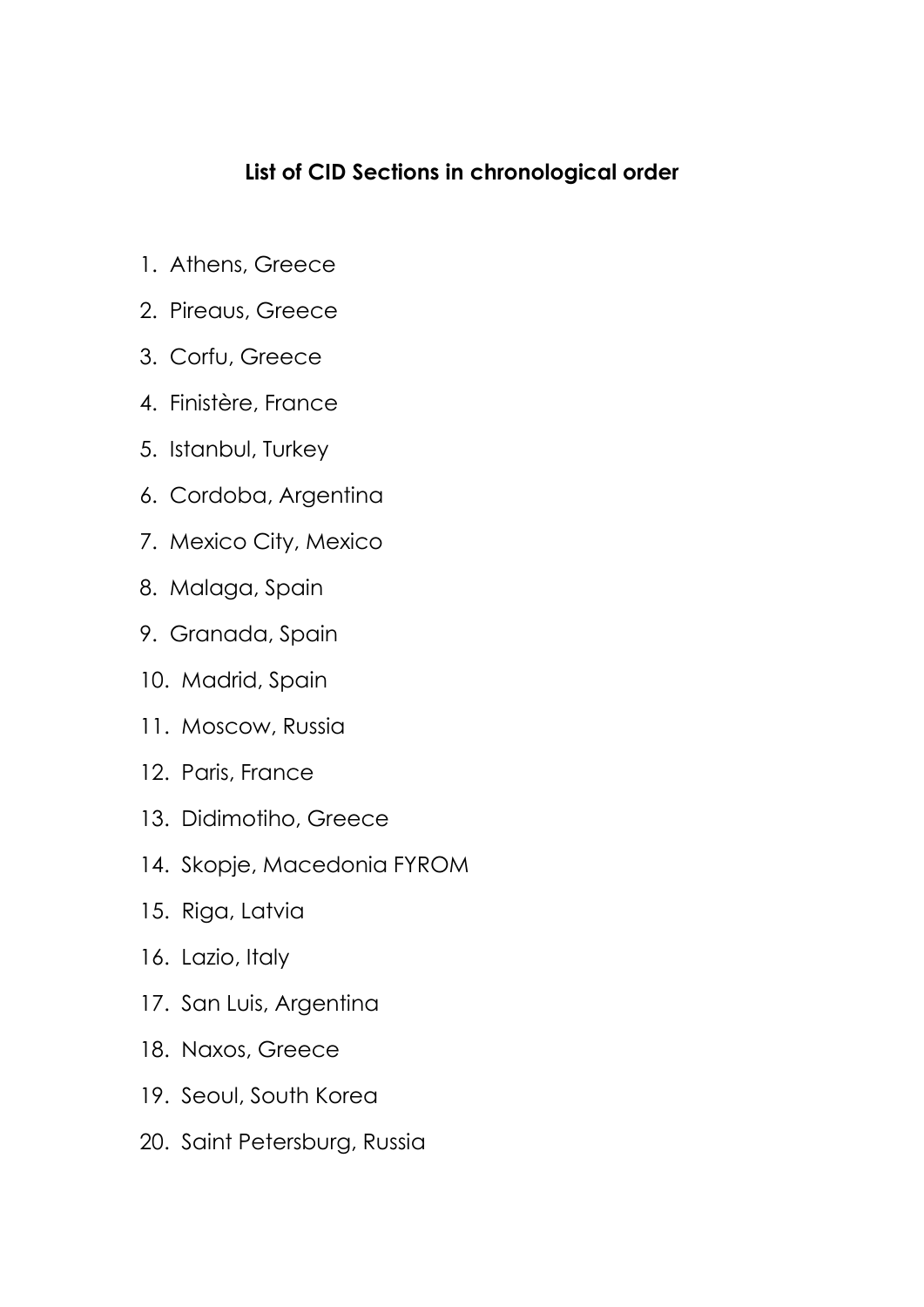## **List of CID Sections in chronological order**

- 1. Athens, Greece
- 2. Pireaus, Greece
- 3. Corfu, Greece
- 4. Finistère, France
- 5. Istanbul, Turkey
- 6. Cordoba, Argentina
- 7. Mexico City, Mexico
- 8. Malaga, Spain
- 9. Granada, Spain
- 10. Madrid, Spain
- 11. Moscow, Russia
- 12. Paris, France
- 13. Didimotiho, Greece
- 14. Skopje, Macedonia FYROM
- 15. Riga, Latvia
- 16. Lazio, Italy
- 17. San Luis, Argentina
- 18. Naxos, Greece
- 19. Seoul, South Korea
- 20. Saint Petersburg, Russia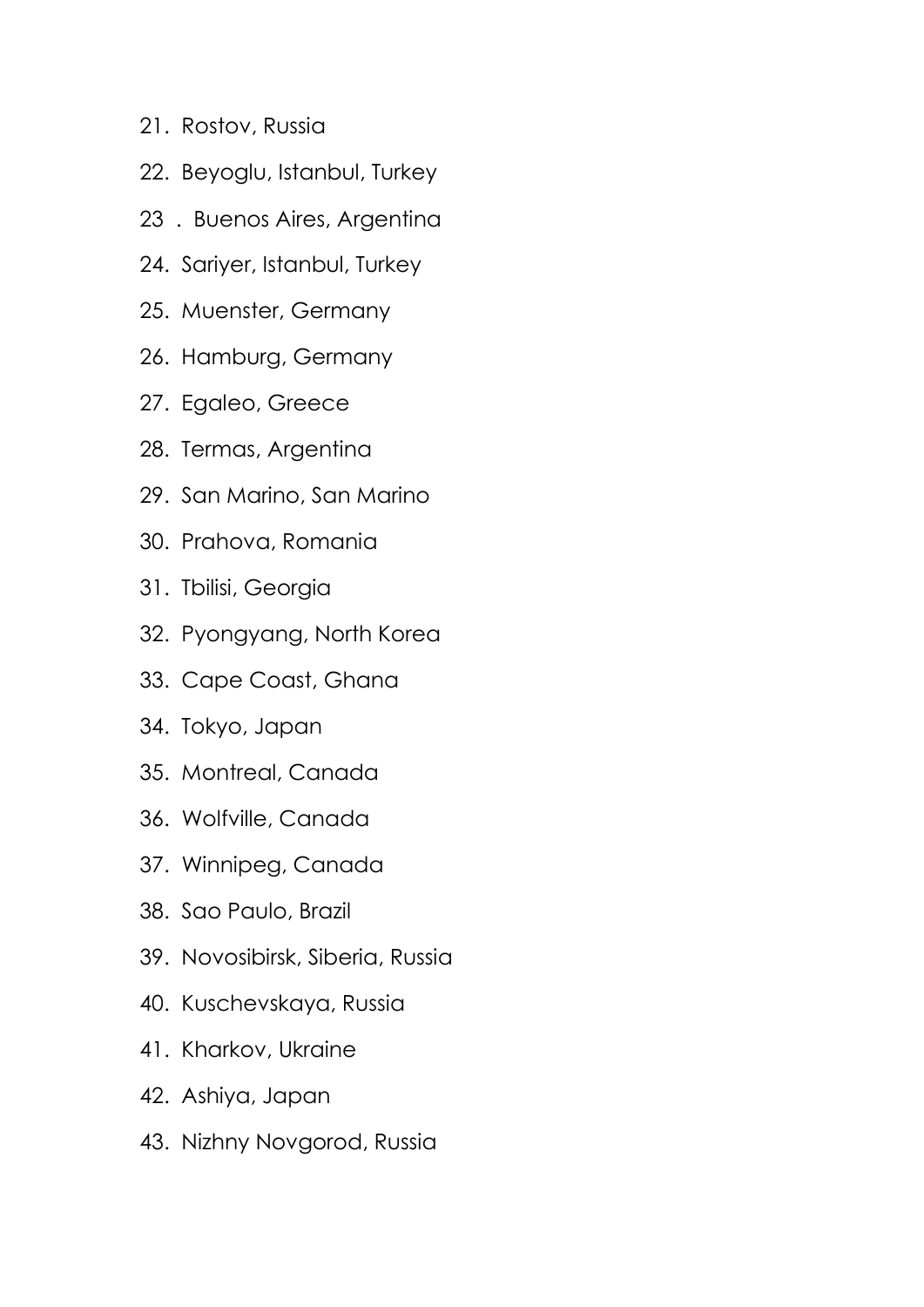- 21. Rostov, Russia
- 22. Beyoglu, Istanbul, Turkey
- 23 . Buenos Aires, Argentina
- 24. Sariyer, Istanbul, Turkey
- 25. Muenster, Germany
- 26. Hamburg, Germany
- 27. Egaleo, Greece
- 28. Termas, Argentina
- 29. San Marino, San Marino
- 30. Prahova, Romania
- 31. Tbilisi, Georgia
- 32. Pyongyang, North Korea
- 33. Cape Coast, Ghana
- 34. Tokyo, Japan
- 35. Montreal, Canada
- 36. Wolfville, Canada
- 37. Winnipeg, Canada
- 38. Sao Paulo, Brazil
- 39. Novosibirsk, Siberia, Russia
- 40. Kuschevskaya, Russia
- 41. Kharkov, Ukraine
- 42. Ashiya, Japan
- 43. Nizhny Novgorod, Russia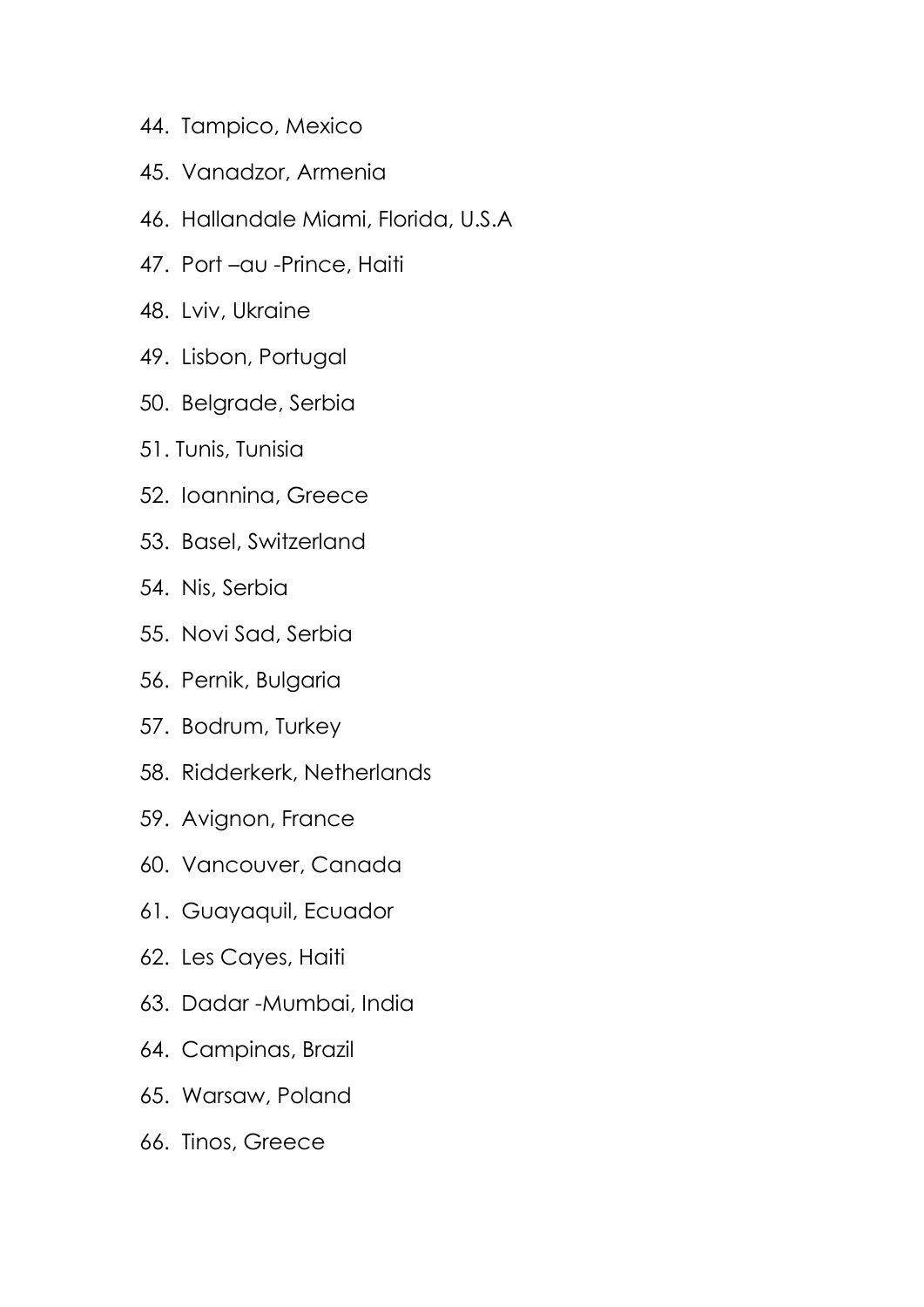- 44. Tampico, Mexico
- 45. Vanadzor, Armenia
- 46. Hallandale Miami, Florida, U.S.A
- 47. Port –au -Prince, Haiti
- 48. Lviv, Ukraine
- 49. Lisbon, Portugal
- 50. Belgrade, Serbia
- 51. Tunis, Tunisia
- 52. Ioannina, Greece
- 53. Basel, Switzerland
- 54. Nis, Serbia
- 55. Novi Sad, Serbia
- 56. Pernik, Bulgaria
- 57. Bodrum, Turkey
- 58. Ridderkerk, Netherlands
- 59. Avignon, France
- 60. Vancouver, Canada
- 61. Guayaquil, Ecuador
- 62. Les Cayes, Haiti
- 63. Dadar -Mumbai, India
- 64. Campinas, Brazil
- 65. Warsaw, Poland
- 66. Tinos, Greece